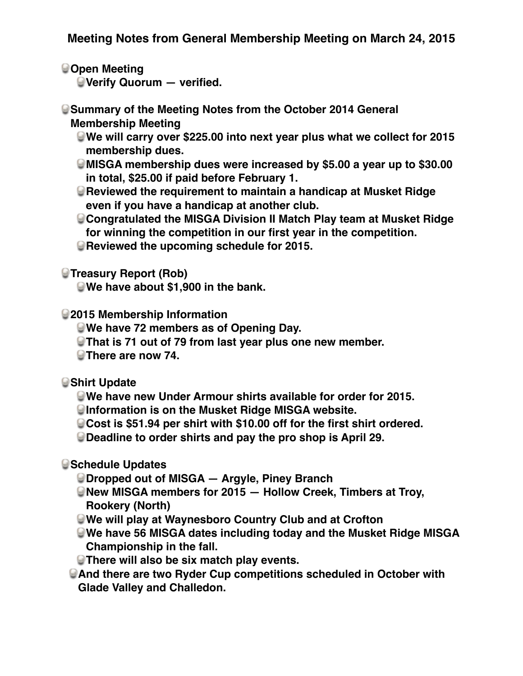**Open Meeting** 

**Verify Quorum — verified.**

**Summary of the Meeting Notes from the October 2014 General Membership Meeting**

- **We will carry over \$225.00 into next year plus what we collect for 2015 membership dues.**
- **MISGA membership dues were increased by \$5.00 a year up to \$30.00 in total, \$25.00 if paid before February 1.**
- **Reviewed the requirement to maintain a handicap at Musket Ridge even if you have a handicap at another club.**
- **Congratulated the MISGA Division II Match Play team at Musket Ridge for winning the competition in our first year in the competition.**
- **Reviewed the upcoming schedule for 2015.**

**Treasury Report (Rob)** 

**We have about \$1,900 in the bank.**

**2015 Membership Information**

- **We have 72 members as of Opening Day.**
- **That is 71 out of 79 from last year plus one new member.**

**There are now 74.**

**Shirt Update**

**We have new Under Armour shirts available for order for 2015.**

**Information is on the Musket Ridge MISGA website.**

**Cost is \$51.94 per shirt with \$10.00 off for the first shirt ordered.**

**Deadline to order shirts and pay the pro shop is April 29.**

**Schedule Updates**

**Dropped out of MISGA — Argyle, Piney Branch**

- **New MISGA members for 2015 Hollow Creek, Timbers at Troy, Rookery (North)**
- **We will play at Waynesboro Country Club and at Crofton**
- **We have 56 MISGA dates including today and the Musket Ridge MISGA Championship in the fall.**
- **There will also be six match play events.**
- **And there are two Ryder Cup competitions scheduled in October with Glade Valley and Challedon.**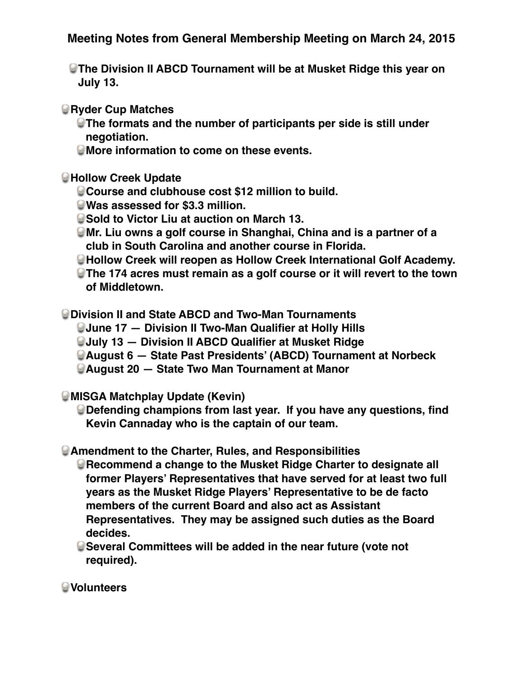**The Division II ABCD Tournament will be at Musket Ridge this year on July 13.** 

*<u></u>***Ryder Cup Matches** 

- **The formats and the number of participants per side is still under negotiation.**
- **More information to come on these events.**

## **Hollow Creek Update**

- **Course and clubhouse cost \$12 million to build.**
- **Was assessed for \$3.3 million.**
- **Sold to Victor Liu at auction on March 13.**
- **Mr. Liu owns a golf course in Shanghai, China and is a partner of a club in South Carolina and another course in Florida.**
- **Hollow Creek will reopen as Hollow Creek International Golf Academy.**
- **The 174 acres must remain as a golf course or it will revert to the town of Middletown.**

**Division II and State ABCD and Two-Man Tournaments**

- **June 17 Division II Two-Man Qualifier at Holly Hills**
- **July 13 Division II ABCD Qualifier at Musket Ridge**
- **August 6 State Past Presidents' (ABCD) Tournament at Norbeck**
- **August 20 State Two Man Tournament at Manor**

**MISGA Matchplay Update (Kevin)**

**Defending champions from last year. If you have any questions, find Kevin Cannaday who is the captain of our team.**

**Amendment to the Charter, Rules, and Responsibilities**

**Recommend a change to the Musket Ridge Charter to designate all former Players' Representatives that have served for at least two full years as the Musket Ridge Players' Representative to be de facto members of the current Board and also act as Assistant Representatives. They may be assigned such duties as the Board decides.**

**Several Committees will be added in the near future (vote not required).**

**Volunteers**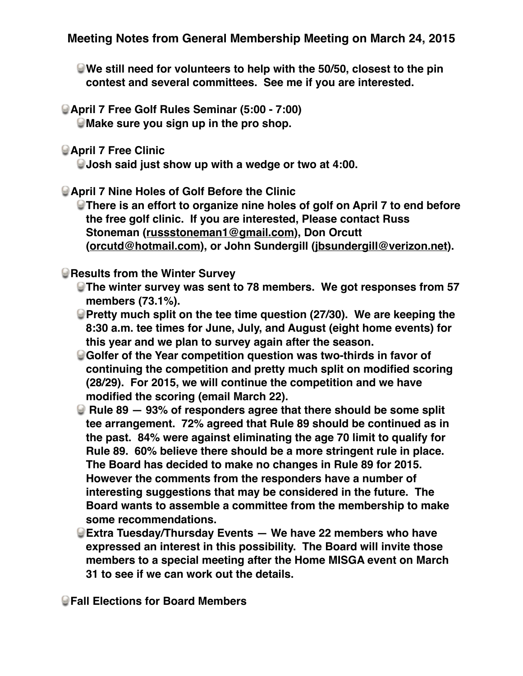- **We still need for volunteers to help with the 50/50, closest to the pin contest and several committees. See me if you are interested.**
- **April 7 Free Golf Rules Seminar (5:00 7:00) Make sure you sign up in the pro shop.**
- **April 7 Free Clinic**

**Josh said just show up with a wedge or two at 4:00.**

**April 7 Nine Holes of Golf Before the Clinic**

**There is an effort to organize nine holes of golf on April 7 to end before the free golf clinic. If you are interested, Please contact Russ Stoneman [\(russstoneman1@gmail.com](mailto:russstoneman1@gmail.com)), Don Orcutt ([orcutd@hotmail.com\)](mailto:orcutd@hotmail.com), or John Sundergill ([jbsundergill@verizon.net\)](mailto:jbsundergill@verizon.net).**

## **Results from the Winter Survey**

- **The winter survey was sent to 78 members. We got responses from 57 members (73.1%).**
- **Pretty much split on the tee time question (27/30). We are keeping the 8:30 a.m. tee times for June, July, and August (eight home events) for this year and we plan to survey again after the season.**
- **Golfer of the Year competition question was two-thirds in favor of continuing the competition and pretty much split on modified scoring (28/29). For 2015, we will continue the competition and we have modified the scoring (email March 22).**
- **E** Rule 89 93% of responders agree that there should be some split **tee arrangement. 72% agreed that Rule 89 should be continued as in the past. 84% were against eliminating the age 70 limit to qualify for Rule 89. 60% believe there should be a more stringent rule in place. The Board has decided to make no changes in Rule 89 for 2015. However the comments from the responders have a number of interesting suggestions that may be considered in the future. The Board wants to assemble a committee from the membership to make some recommendations.**
- **Extra Tuesday/Thursday Events We have 22 members who have expressed an interest in this possibility. The Board will invite those members to a special meeting after the Home MISGA event on March 31 to see if we can work out the details.**

**Fall Elections for Board Members**